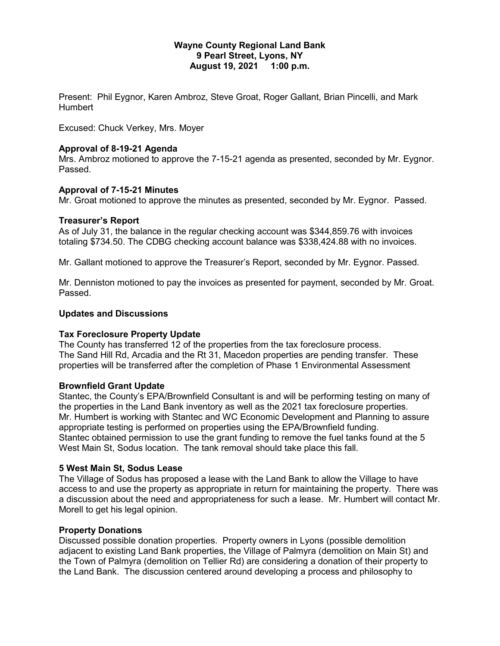### **Wayne County Regional Land Bank 9 Pearl Street, Lyons, NY August 19, 2021 1:00 p.m.**

Present: Phil Eygnor, Karen Ambroz, Steve Groat, Roger Gallant, Brian Pincelli, and Mark **Humbert** 

Excused: Chuck Verkey, Mrs. Moyer

### **Approval of 8-19-21 Agenda**

Mrs. Ambroz motioned to approve the 7-15-21 agenda as presented, seconded by Mr. Eygnor. Passed.

### **Approval of 7-15-21 Minutes**

Mr. Groat motioned to approve the minutes as presented, seconded by Mr. Eygnor. Passed.

### **Treasurer's Report**

As of July 31, the balance in the regular checking account was \$344,859.76 with invoices totaling \$734.50. The CDBG checking account balance was \$338,424.88 with no invoices.

Mr. Gallant motioned to approve the Treasurer's Report, seconded by Mr. Eygnor. Passed.

Mr. Denniston motioned to pay the invoices as presented for payment, seconded by Mr. Groat. Passed.

### **Updates and Discussions**

## **Tax Foreclosure Property Update**

The County has transferred 12 of the properties from the tax foreclosure process. The Sand Hill Rd, Arcadia and the Rt 31, Macedon properties are pending transfer. These properties will be transferred after the completion of Phase 1 Environmental Assessment

## **Brownfield Grant Update**

Stantec, the County's EPA/Brownfield Consultant is and will be performing testing on many of the properties in the Land Bank inventory as well as the 2021 tax foreclosure properties. Mr. Humbert is working with Stantec and WC Economic Development and Planning to assure appropriate testing is performed on properties using the EPA/Brownfield funding. Stantec obtained permission to use the grant funding to remove the fuel tanks found at the 5 West Main St, Sodus location. The tank removal should take place this fall.

### **5 West Main St, Sodus Lease**

The Village of Sodus has proposed a lease with the Land Bank to allow the Village to have access to and use the property as appropriate in return for maintaining the property. There was a discussion about the need and appropriateness for such a lease. Mr. Humbert will contact Mr. Morell to get his legal opinion.

## **Property Donations**

Discussed possible donation properties. Property owners in Lyons (possible demolition adjacent to existing Land Bank properties, the Village of Palmyra (demolition on Main St) and the Town of Palmyra (demolition on Tellier Rd) are considering a donation of their property to the Land Bank. The discussion centered around developing a process and philosophy to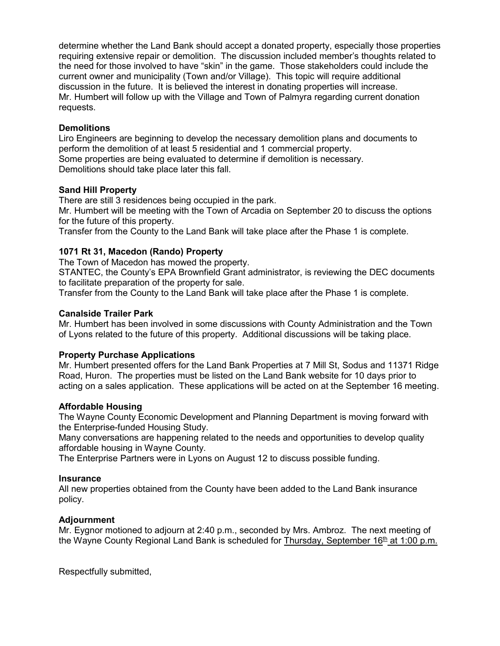determine whether the Land Bank should accept a donated property, especially those properties requiring extensive repair or demolition. The discussion included member's thoughts related to the need for those involved to have "skin" in the game. Those stakeholders could include the current owner and municipality (Town and/or Village). This topic will require additional discussion in the future. It is believed the interest in donating properties will increase. Mr. Humbert will follow up with the Village and Town of Palmyra regarding current donation requests.

## **Demolitions**

Liro Engineers are beginning to develop the necessary demolition plans and documents to perform the demolition of at least 5 residential and 1 commercial property. Some properties are being evaluated to determine if demolition is necessary. Demolitions should take place later this fall.

## **Sand Hill Property**

There are still 3 residences being occupied in the park.

Mr. Humbert will be meeting with the Town of Arcadia on September 20 to discuss the options for the future of this property.

Transfer from the County to the Land Bank will take place after the Phase 1 is complete.

# **1071 Rt 31, Macedon (Rando) Property**

The Town of Macedon has mowed the property.

STANTEC, the County's EPA Brownfield Grant administrator, is reviewing the DEC documents to facilitate preparation of the property for sale.

Transfer from the County to the Land Bank will take place after the Phase 1 is complete.

## **Canalside Trailer Park**

Mr. Humbert has been involved in some discussions with County Administration and the Town of Lyons related to the future of this property. Additional discussions will be taking place.

## **Property Purchase Applications**

Mr. Humbert presented offers for the Land Bank Properties at 7 Mill St, Sodus and 11371 Ridge Road, Huron. The properties must be listed on the Land Bank website for 10 days prior to acting on a sales application. These applications will be acted on at the September 16 meeting.

## **Affordable Housing**

The Wayne County Economic Development and Planning Department is moving forward with the Enterprise-funded Housing Study.

Many conversations are happening related to the needs and opportunities to develop quality affordable housing in Wayne County.

The Enterprise Partners were in Lyons on August 12 to discuss possible funding.

## **Insurance**

All new properties obtained from the County have been added to the Land Bank insurance policy.

## **Adjournment**

Mr. Eygnor motioned to adjourn at 2:40 p.m., seconded by Mrs. Ambroz. The next meeting of the Wayne County Regional Land Bank is scheduled for Thursday, September  $16<sup>th</sup>$  at 1:00 p.m.

Respectfully submitted,